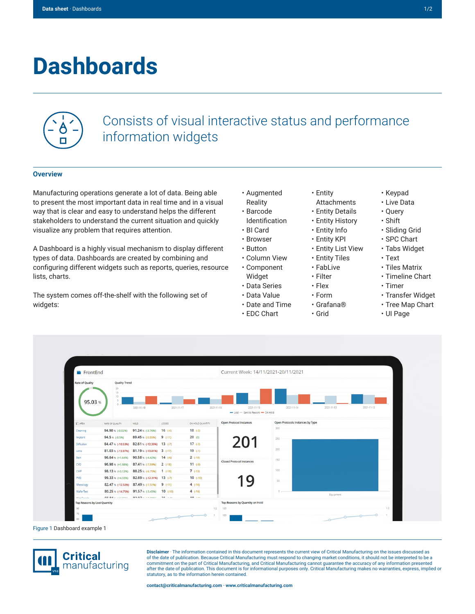## **Dashboards**



## Consists of visual interactive status and performance information widgets

## **Overview**

Manufacturing operations generate a lot of data. Being able to present the most important data in real time and in a visual way that is clear and easy to understand helps the different stakeholders to understand the current situation and quickly visualize any problem that requires attention.

A Dashboard is a highly visual mechanism to display different types of data. Dashboards are created by combining and configuring different widgets such as reports, queries, resource lists, charts.

The system comes off-the-shelf with the following set of widgets:

- Augmented
- Barcode
- 
- 
- 
- 
- Component
- Widget
- Data Series
- Data Value
- Date and Time
- EDC Chart
- Entity
- Attachments
- Entity Details
- Entity History
- Entity Info
- Entity KPI
- Entity List View
- Entity Tiles
- FabLive
- Filter
- Flex • Form
- Grafana®
- Grid
- Keypad • Live Data
- Query
- Shift
- Sliding Grid
- SPC Chart
- Tabs Widget
- Text
- Tiles Matrix
- Timeline Chart
- Timer
- Transfer Widget
- Tree Map Chart
- UI Page



Figure 1 Dashboard example 1



**Disclaimer** · The information contained in this document represents the current view of Critical Manufacturing on the issues discussed as of the date of publication. Because Critical Manufacturing must respond to changing market conditions, it should not be interpreted to be a commitment on the part of Critical Manufacturing, and Critical Manufacturing cannot guarantee the accuracy of any information presented after the date of publication. This document is for informational purposes only. Critical Manufacturing makes no warranties, express, implied or statutory, as to the information herein contained.

- Reality
- Identification • BI Card
- Browser
- Button
- Column View